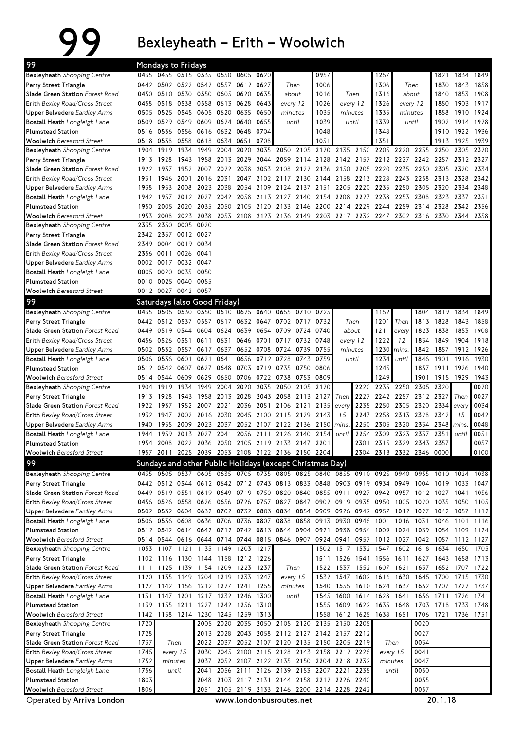## 99 Bexleyheath – Erith – Woolwich

| 99                                                                           |                                                                                                 | <b>Mondays to Fridays</b> |              |                                                          |                   |              |              |                                              |           |                          |                     |           |                                                                                                             |             |                     |                     |              |              |
|------------------------------------------------------------------------------|-------------------------------------------------------------------------------------------------|---------------------------|--------------|----------------------------------------------------------|-------------------|--------------|--------------|----------------------------------------------|-----------|--------------------------|---------------------|-----------|-------------------------------------------------------------------------------------------------------------|-------------|---------------------|---------------------|--------------|--------------|
| Bexleyheath Shopping Centre                                                  |                                                                                                 |                           |              | 0435 0455 0515 0535 0550 0605 0620                       |                   |              |              |                                              |           | 0957                     |                     |           | 1257                                                                                                        |             |                     | 1821                |              | 1834 1849    |
| Perry Street Triangle                                                        |                                                                                                 |                           |              | 0442 0502 0522 0542 0557 0612                            |                   |              | 0627         | Then                                         |           | 1006                     |                     | 1306      |                                                                                                             | Then        |                     | 1830                |              | 1843 1858    |
| Slade Green Station Forest Road                                              | 0450                                                                                            | 0510 0530                 |              | 0550                                                     | 0605 0620         |              | 0635         | about                                        |           | 1016                     | Then                |           | 1316                                                                                                        |             | about               | 1840                | 1853         | 1908         |
| <b>Erith</b> Bexley Road/Cross Street                                        | 0458                                                                                            | 0518                      | 0538         | 0558                                                     | 0613 0628         |              | 0643         | every 12                                     |           | 1026                     | every 12            |           | 1326                                                                                                        |             | every 12            | 1850                |              | 1903 1917    |
| <b>Upper Belvedere</b> Eardley Arms                                          | 0505                                                                                            | 0525 0545                 |              | 0605 0620 0635                                           |                   |              | 0650         | minutes                                      |           | 1035                     | minutes             |           | 1335                                                                                                        |             | minutes             | 1858                |              | 1910 1924    |
| <b>Bostall Heath</b> Longleigh Lane                                          | 0509                                                                                            | 0529                      | 0549         | 0609                                                     | 0624              | 0640         | 0655         |                                              | until     | 1039                     | until               |           | 1339                                                                                                        |             | until               | 1902                | 1914 1928    |              |
| <b>Plumstead Station</b>                                                     | 0516                                                                                            | 0536                      | 0556         | 0616                                                     | 0632 0648         |              | 0704         |                                              |           | 1048                     |                     |           | 1348                                                                                                        |             |                     | 1910                | 1922 1936    |              |
| <b>Woolwich</b> Beresford Street                                             | 0518                                                                                            | 0538                      | 0558         | 0618                                                     | 0634 0651         |              | 0708         | 2050                                         |           | 1051                     |                     |           | 1351                                                                                                        |             |                     | 1913                | 1925         | 1939         |
| Bexleyheath Shopping Centre<br>Perry Street Triangle                         | 1904                                                                                            | 1919<br>1913 1928         | 1934<br>1943 | 1949<br>1958                                             | 2004<br>2013 2029 | 2020         | 2035<br>2044 |                                              | 2105      | 2120                     | 2135 2150           |           | 2205<br>2059 2114 2128 2142 2157 2212 2227 2242 2257 2312 2327                                              | 2220        | 2235                | 2250                | 2305         | 2320         |
| Slade Green Station Forest Road                                              | 1922                                                                                            | 1937                      |              | 1952 2007                                                | 2022 2038         |              | 2053         | 2108 2122                                    |           | 2136 2150 2205           |                     |           | 2220                                                                                                        | 2235        | 2250                | 2305                | 2320         | 2334         |
| <b>Erith</b> Bexley Road/Cross Street                                        | 1931                                                                                            | 1946                      | 2001         | 2016                                                     | 2031              | 2047         | 2102         | 2117 2130                                    |           | 2144                     | 2158                | 2213      | 2228                                                                                                        | 2243        | 2258                | 2313                | 2328         | 2342         |
| Upper Belvedere Eardley Arms                                                 | 1938                                                                                            | 1953                      | 2008         | 2023                                                     | 2038              | 2054         | 2109         | 2124 2137                                    |           | 2151                     | 2205                | 2220      | 2235                                                                                                        | 2250        | 2305                | 2320                | 2334         | 2348         |
| <b>Bostall Heath</b> Longleigh Lane                                          | 1942                                                                                            | 1957                      | 2012         | 2027                                                     | 2042              | 2058         | 2113         | 2127                                         | 2140      | 2154                     | 2208                | 2223      | 2238                                                                                                        | 2253        | 2308                | 2323                | 2337         | 2351         |
| <b>Plumstead Station</b>                                                     | 1950                                                                                            | 2005 2020                 |              | 2035                                                     |                   |              |              |                                              |           |                          |                     |           | 2050 2105 2120 2133 2146 2200 2214 2229 2244 2259 2314 2328                                                 |             |                     |                     | 2342 2356    |              |
| Woolwich Beresford Street                                                    |                                                                                                 | 1953 2008                 | 2023         |                                                          |                   |              |              |                                              |           |                          |                     |           | 2038 2053 2108 2123 2136 2149 2203 2217 2232 2247 2302 2316 2330 2344 2358                                  |             |                     |                     |              |              |
| Bexleyheath Shopping Centre                                                  | 2335                                                                                            | 2350                      | 0005         | 0020                                                     |                   |              |              |                                              |           |                          |                     |           |                                                                                                             |             |                     |                     |              |              |
| Perry Street Triangle                                                        |                                                                                                 | 2342 2357                 |              | 0012 0027                                                |                   |              |              |                                              |           |                          |                     |           |                                                                                                             |             |                     |                     |              |              |
| Slade Green Station Forest Road                                              | 2349                                                                                            |                           | 0004 0019    | 0034                                                     |                   |              |              |                                              |           |                          |                     |           |                                                                                                             |             |                     |                     |              |              |
| <b>Erith</b> Bexley Road/Cross Street                                        | 2356                                                                                            | 0011                      | 0026         | 0041                                                     |                   |              |              |                                              |           |                          |                     |           |                                                                                                             |             |                     |                     |              |              |
| <b>Upper Belvedere</b> Eardley Arms                                          |                                                                                                 | 0002 0017                 | 0032 0047    |                                                          |                   |              |              |                                              |           |                          |                     |           |                                                                                                             |             |                     |                     |              |              |
| <b>Bostall Heath</b> Longleigh Lane                                          | 0005                                                                                            | 0020                      | 0035         | 0050                                                     |                   |              |              |                                              |           |                          |                     |           |                                                                                                             |             |                     |                     |              |              |
| <b>Plumstead Station</b>                                                     | 0010                                                                                            | 0025 0040                 |              | 0055                                                     |                   |              |              |                                              |           |                          |                     |           |                                                                                                             |             |                     |                     |              |              |
| <b>Woolwich Beresford Street</b>                                             |                                                                                                 | 0012 0027 0042 0057       |              |                                                          |                   |              |              |                                              |           |                          |                     |           |                                                                                                             |             |                     |                     |              |              |
| 99                                                                           |                                                                                                 |                           |              | Saturdays (also Good Friday)                             |                   |              |              |                                              |           |                          |                     |           |                                                                                                             |             |                     |                     |              |              |
| Bexleyheath Shopping Centre                                                  | 0435                                                                                            |                           |              | 0505 0530 0550 0610 0625 0640                            |                   |              |              |                                              | 0655 0710 | 0725                     |                     |           | 1152                                                                                                        |             | 1804                | 1819                | 1834         | 1849         |
| Perry Street Triangle                                                        |                                                                                                 |                           |              | 0442 0512 0537 0557                                      | 0617              | 0632 0647    |              |                                              | 0702 0717 | 0732                     | Then                |           | 1201                                                                                                        | Then        | 1813                | 1828                | 1843         | 1858         |
| Slade Green Station Forest Road                                              | 0449<br>0456                                                                                    | 0519 0544<br>0526         | 0551         | 0604<br>0611                                             | 0624<br>0631      | 0639<br>0646 | 0654<br>0701 | 0709 0724                                    | 0717 0732 | 0740<br>0748             | about               |           | 1211<br>1222                                                                                                | every<br>12 | 1823<br>1834        | 1838<br>1849        | 1853<br>1904 | 1908<br>1918 |
| <b>Erith</b> Bexley Road/Cross Street<br><b>Upper Belvedere</b> Eardley Arms |                                                                                                 | 0502 0532                 | 0557         | 0617                                                     | 0637              |              | 0652 0708    | 0724 0739                                    |           | 0755                     | every 12<br>minutes |           | 1230                                                                                                        | mins.       | 1842                | 1857                |              | 1912 1926    |
| <b>Bostall Heath</b> Longleigh Lane                                          | 0506                                                                                            | 0536                      | 0601         | 0621                                                     | 0641              | 0656         | 0712         | 0728                                         | 0743      | 0759                     |                     | until     | 1234                                                                                                        | until       | 1846                | 1901                | 1916         | 1930         |
| <b>Plumstead Station</b>                                                     | 0512                                                                                            | 0542 0607                 |              | 0627                                                     | 0648              | 0703         | 0719         | 0735 0750                                    |           | 0806                     |                     |           | 1245                                                                                                        |             | 1857                | 1911                | 1926         | 1940         |
| Woolwich Beresford Street                                                    |                                                                                                 | 0514 0544 0609            |              | 0629                                                     |                   | 0650 0706    | 0722         | 0738 0753                                    |           | 0809                     |                     |           | 1249                                                                                                        |             | 1901                | 1915 1929           |              | 1943         |
| <b>Bexleyheath</b> Shopping Centre                                           | 1904                                                                                            | 1919                      | 1934         | 1949                                                     | 2004              | 2020         | 2035         | 2050                                         | 2105      | 2120                     |                     | 2220      | 2235                                                                                                        | 2250        | 2305 2320           |                     |              | 0020         |
| Perry Street Triangle                                                        | 1913                                                                                            | 1928                      | 1943         | 1958                                                     |                   | 2013 2028    | 2043         | 2058 2113                                    |           | 2127                     | Then                | 2227      |                                                                                                             | 2242 2257   | 2312 2327           |                     | Then         | 0027         |
| Slade Green Station Forest Road                                              | 1922                                                                                            | 1937                      | 1952         | 2007                                                     | 2021              | 2036         | 2051         | 2106 2121                                    |           | 2135                     | every               | 2235      | 2250                                                                                                        | 2305        | 2320                | 2334                | every        | 0034         |
| <b>Erith</b> Bexley Road/Cross Street                                        | 1932                                                                                            | 1947                      | 2002         | 2016                                                     | 2030              | 2045         | 2100         | 2115 2129                                    |           | 2143                     | 15                  | 2243      | 2258                                                                                                        | 2313        | 2328                | 2342                | 15           | 0042         |
| Upper Belvedere Eardley Arms                                                 | 1940                                                                                            | 1955                      | 2009         |                                                          | 2023 2037         |              | 2052 2107    | 2122 2136                                    |           | 2150                     | mins.               | 2250      | 2305                                                                                                        |             | 2320 2334           | 2348                | mins.        | 0048         |
| <b>Bostall Heath</b> Longleigh Lane                                          | 1944                                                                                            | 1959                      | 2013         | 2027                                                     | 2041              | 2056         | 2111         | 2126 2140                                    |           | 2154                     | until               | 2254      | 2309                                                                                                        | 2323        | 2337                | 2351                | until        | 0051         |
| <b>Plumstead Station</b>                                                     | 1954                                                                                            |                           |              | 2008 2022 2036 2050 2105 2119                            |                   |              |              | 2133 2147                                    |           | 2201                     |                     | 2301      |                                                                                                             |             | 2315 2329 2343 2357 |                     |              | 0057         |
| Woolwich Beresford Street                                                    |                                                                                                 |                           |              | 1957 2011 2025 2039 2053 2108 2122 2136 2150 2204        |                   |              |              |                                              |           |                          |                     |           | 2304 2318 2332 2346 0000                                                                                    |             |                     |                     |              | 0100         |
| 99                                                                           |                                                                                                 |                           |              | Sundays and other Public Holidays (except Christmas Day) |                   |              |              |                                              |           |                          |                     |           |                                                                                                             |             |                     |                     |              |              |
| Bexleyheath Shopping Centre                                                  |                                                                                                 |                           |              |                                                          |                   |              |              |                                              |           |                          |                     |           | 0435 0505 0537 0605 0635 0705 0735 0805 0825 0840 0855 0910 0925 0940 0955 1010 1024 1038                   |             |                     |                     |              |              |
| Perry Street Triangle<br>Slade Green Station Forest Road                     |                                                                                                 |                           |              | 0449 0519 0551 0619 0649 0719 0750 0820 0840             |                   |              |              |                                              |           | 0855 0911                |                     |           | 0442 0512 0544 0612 0642 0712 0743 0813 0833 0848 0903 0919 0934 0949 1004 1019 1033 1047<br>0927 0942 0957 |             | 1012 1027           |                     | 1041 1056    |              |
| Erith Bexley Road/Cross Street                                               |                                                                                                 | 0456 0526                 | 0558         | 0626                                                     |                   | 0656 0726    |              | 0757 0827 0847                               |           |                          | 0902 0919 0935      |           | 0950                                                                                                        | 1005        | 1020                | 1035                | 1050         | 1105         |
| <b>Upper Belvedere</b> Eardley Arms                                          |                                                                                                 | 0502 0532 0604            |              | 0632 0702 0732 0803                                      |                   |              |              | 0834 0854                                    |           |                          |                     |           | 0909 0926 0942 0957 1012 1027 1042                                                                          |             |                     |                     | 1057 1112    |              |
| Bostall Heath Longleigh Lane                                                 |                                                                                                 |                           |              | 0506 0536 0608 0636 0706 0736 0807                       |                   |              |              |                                              | 0838 0858 |                          | 0913 0930 0946      |           | 1001 1016                                                                                                   |             | 1031                | 1046                | 1101         | 1116         |
| Plumstead Station                                                            |                                                                                                 |                           |              | 0512 0542 0614 0642 0712 0742 0813 0844 0904             |                   |              |              |                                              |           |                          |                     |           | 0921 0938 0954 1009 1024 1039 1054 1109 1124                                                                |             |                     |                     |              |              |
| <b>Woolwich Beresford Street</b>                                             |                                                                                                 |                           |              | 0514 0544 0616 0644 0714 0744 0815 0846 0907             |                   |              |              |                                              |           |                          |                     |           | 0924 0941 0957 1012 1027 1042 1057 1112 1127                                                                |             |                     |                     |              |              |
| Bexleyheath Shopping Centre                                                  |                                                                                                 |                           |              | 1053 1107 1121 1135 1149 1203 1217                       |                   |              |              |                                              |           |                          |                     |           | 1502 1517 1532 1547 1602 1618 1634                                                                          |             |                     |                     | 1650         | 1705         |
| Perry Street Triangle                                                        |                                                                                                 | 1102 1116                 |              | 1130 1144 1158 1212 1226                                 |                   |              |              |                                              |           |                          |                     |           | 1511 1526 1541 1556 1611                                                                                    |             |                     | 1627 1643 1658 1713 |              |              |
| Slade Green Station Forest Road                                              | 1111                                                                                            |                           | 1125 1139    | 1154 1209 1223 1237                                      |                   |              |              |                                              | Then      | 1522                     |                     |           | 1537 1552 1607 1621                                                                                         |             |                     | 1637 1652 1707 1722 |              |              |
| <b>Erith</b> Bexley Road/Cross Street                                        |                                                                                                 | 1120 1135 1149            |              | 1204 1219 1233                                           |                   |              | 1247         |                                              | every 15  |                          |                     |           | 1532 1547 1602 1616 1630                                                                                    |             | 1645 1700           |                     | 1715         | 1730         |
| <b>Upper Belvedere</b> Eardley Arms                                          | 1127                                                                                            |                           |              | 1142 1156 1212 1227 1241                                 |                   |              | 1255         | minutes                                      |           | 1540                     |                     | 1555 1610 | 1624 1637                                                                                                   |             |                     | 1652 1707           |              | 1722 1737    |
| <b>Bostall Heath</b> Longleigh Lane                                          |                                                                                                 |                           |              | 1131 1147 1201 1217 1232 1246                            |                   |              | 1300         |                                              | until     | 1545                     | 1600 1614           |           | 1628                                                                                                        | 1641        |                     | 1656 1711           | 1726 1741    |              |
| Plumstead Station                                                            |                                                                                                 |                           |              | 1139 1155 1211 1227 1242 1256                            |                   |              | 1310         |                                              |           | 1555                     |                     |           | 1609 1622 1635 1648                                                                                         |             |                     | 1703 1718 1733 1748 |              |              |
| Woolwich Beresford Street<br>Bexleyheath Shopping Centre                     | 1720                                                                                            |                           |              | 1142 1158 1214 1230 1245 1259 1313<br>2005               |                   |              |              | 2020 2035 2050 2105 2120 2135 2150 2205      |           |                          |                     |           | 1558 1612 1625 1638 1651                                                                                    |             | 0020                | 1706 1721 1736 1751 |              |              |
| Perry Street Triangle                                                        | 1728                                                                                            |                           |              |                                                          |                   |              |              | 2013 2028 2043 2058 2112 2127 2142 2157 2212 |           |                          |                     |           |                                                                                                             |             | 0027                |                     |              |              |
| Slade Green Station Forest Road                                              | 1737                                                                                            |                           | Then         | 2022                                                     |                   |              |              | 2037 2052 2107 2120 2135 2150 2205 2219      |           |                          |                     |           | Then                                                                                                        |             | 0034                |                     |              |              |
| <b>Erith</b> Bexley Road/Cross Street                                        | 1745                                                                                            |                           | every 15     | 2030                                                     |                   | 2045 2100    | 2115         |                                              |           | 2128 2143 2158 2212 2226 |                     |           |                                                                                                             | every 15    | 0041                |                     |              |              |
| Upper Belvedere Eardley Arms                                                 | 1752                                                                                            |                           | minutes      | 2037                                                     |                   |              |              | 2052 2107 2122 2135 2150 2204 2218 2232      |           |                          |                     |           | minutes                                                                                                     |             | 0047                |                     |              |              |
| Bostall Heath Longleigh Lane                                                 | 1756                                                                                            |                           | until        | 2041                                                     |                   |              |              | 2056 2111 2126 2139 2153 2207 2221           |           |                          |                     | 2235      |                                                                                                             | until       | 0050                |                     |              |              |
| Plumstead Station                                                            | 1803                                                                                            |                           |              | 2048                                                     |                   |              |              | 2103 2117 2131 2144 2158 2212 2226 2240      |           |                          |                     |           |                                                                                                             |             | 0055                |                     |              |              |
| <b>Woolwich Beresford Street</b>                                             | 1806                                                                                            |                           |              | 2051                                                     |                   |              |              |                                              |           |                          |                     |           |                                                                                                             |             | 0057                |                     |              |              |
|                                                                              | 2105 2119 2133 2146 2200 2214 2228 2242<br>www.londonbusroutes.net<br>Operated by Arriva London |                           |              |                                                          |                   |              |              |                                              |           |                          |                     |           |                                                                                                             |             | 20.1.18             |                     |              |              |